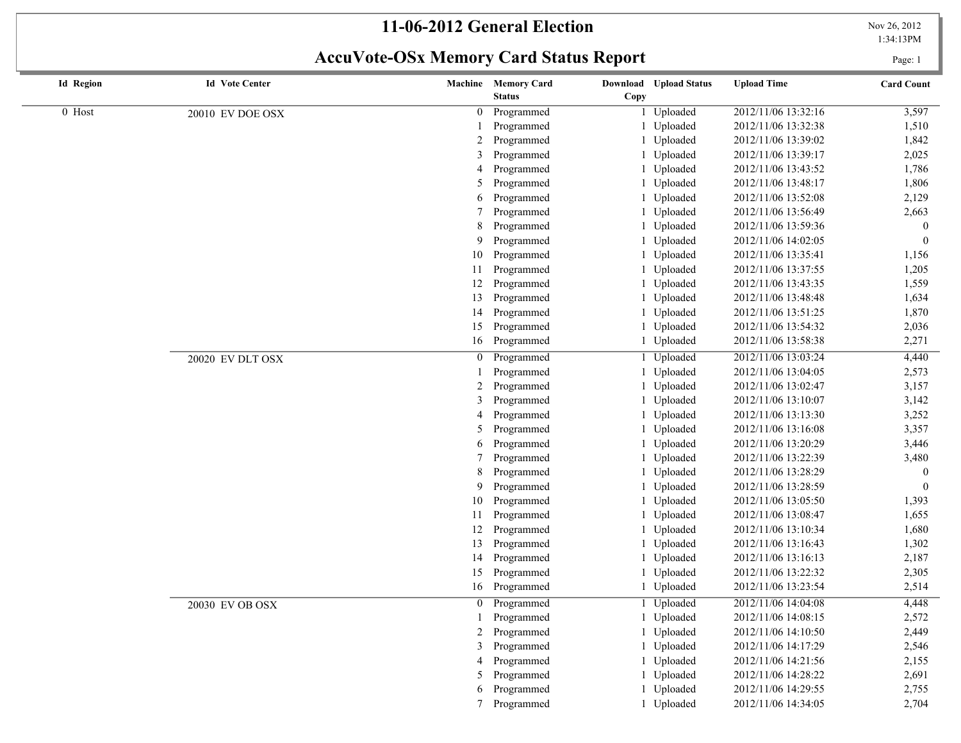#### **11-06-2012 General Election** Nov 26, 2012

**AccuVote-OSx Memory Card Status Report** Page: 1

1:34:13PM

| <b>Id Region</b> | <b>Id Vote Center</b> |                 | Machine Memory Card | Download Upload Status | <b>Upload Time</b>  | <b>Card Count</b> |
|------------------|-----------------------|-----------------|---------------------|------------------------|---------------------|-------------------|
|                  |                       |                 | <b>Status</b>       | Copy                   |                     |                   |
| 0 Host           | 20010 EV DOE OSX      |                 | 0 Programmed        | 1 Uploaded             | 2012/11/06 13:32:16 | 3,597             |
|                  |                       |                 | Programmed          | 1 Uploaded             | 2012/11/06 13:32:38 | 1,510             |
|                  |                       | 2               | Programmed          | 1 Uploaded             | 2012/11/06 13:39:02 | 1,842             |
|                  |                       | 3               | Programmed          | 1 Uploaded             | 2012/11/06 13:39:17 | 2,025             |
|                  |                       | 4               | Programmed          | 1 Uploaded             | 2012/11/06 13:43:52 | 1,786             |
|                  |                       | 5               | Programmed          | 1 Uploaded             | 2012/11/06 13:48:17 | 1,806             |
|                  |                       | 6               | Programmed          | 1 Uploaded             | 2012/11/06 13:52:08 | 2,129             |
|                  |                       | 7               | Programmed          | 1 Uploaded             | 2012/11/06 13:56:49 | 2,663             |
|                  |                       | 8               | Programmed          | 1 Uploaded             | 2012/11/06 13:59:36 | $\boldsymbol{0}$  |
|                  |                       | 9               | Programmed          | 1 Uploaded             | 2012/11/06 14:02:05 | $\overline{0}$    |
|                  |                       | 10              | Programmed          | 1 Uploaded             | 2012/11/06 13:35:41 | 1,156             |
|                  |                       | 11              | Programmed          | Uploaded               | 2012/11/06 13:37:55 | 1,205             |
|                  |                       | 12              | Programmed          | Uploaded               | 2012/11/06 13:43:35 | 1,559             |
|                  |                       | 13              | Programmed          | 1 Uploaded             | 2012/11/06 13:48:48 | 1,634             |
|                  |                       | 14              | Programmed          | 1 Uploaded             | 2012/11/06 13:51:25 | 1,870             |
|                  |                       | 15              | Programmed          | 1 Uploaded             | 2012/11/06 13:54:32 | 2,036             |
|                  |                       | 16              | Programmed          | 1 Uploaded             | 2012/11/06 13:58:38 | 2,271             |
|                  | 20020 EV DLT OSX      | $\mathbf{0}$    | Programmed          | 1 Uploaded             | 2012/11/06 13:03:24 | 4,440             |
|                  |                       |                 | Programmed          | 1 Uploaded             | 2012/11/06 13:04:05 | 2,573             |
|                  |                       | 2               | Programmed          | 1 Uploaded             | 2012/11/06 13:02:47 | 3,157             |
|                  |                       | 3               | Programmed          | Uploaded               | 2012/11/06 13:10:07 | 3,142             |
|                  |                       | 4               | Programmed          | 1 Uploaded             | 2012/11/06 13:13:30 | 3,252             |
|                  |                       | 5               | Programmed          | Uploaded               | 2012/11/06 13:16:08 | 3,357             |
|                  |                       | 6               | Programmed          | 1 Uploaded             | 2012/11/06 13:20:29 | 3,446             |
|                  |                       |                 | Programmed          | 1 Uploaded             | 2012/11/06 13:22:39 | 3,480             |
|                  |                       | 8               | Programmed          | 1 Uploaded             | 2012/11/06 13:28:29 | $\overline{0}$    |
|                  |                       | 9               | Programmed          | 1 Uploaded             | 2012/11/06 13:28:59 | $\bf{0}$          |
|                  |                       | 10              | Programmed          | 1 Uploaded             | 2012/11/06 13:05:50 | 1,393             |
|                  |                       | 11              | Programmed          | 1 Uploaded             | 2012/11/06 13:08:47 | 1,655             |
|                  |                       | 12              | Programmed          | 1 Uploaded             | 2012/11/06 13:10:34 | 1,680             |
|                  |                       | 13              | Programmed          | 1 Uploaded             | 2012/11/06 13:16:43 | 1,302             |
|                  |                       | 14              | Programmed          | 1 Uploaded             | 2012/11/06 13:16:13 | 2,187             |
|                  |                       | 15              | Programmed          | 1 Uploaded             | 2012/11/06 13:22:32 | 2,305             |
|                  |                       | 16              | Programmed          | 1 Uploaded             | 2012/11/06 13:23:54 | 2,514             |
|                  | 20030 EV OB OSX       |                 | 0 Programmed        | 1 Uploaded             | 2012/11/06 14:04:08 | 4,448             |
|                  |                       |                 | 1 Programmed        | 1 Uploaded             | 2012/11/06 14:08:15 | 2,572             |
|                  |                       | $\overline{2}$  | Programmed          | 1 Uploaded             | 2012/11/06 14:10:50 | 2,449             |
|                  |                       | 3               | Programmed          | 1 Uploaded             | 2012/11/06 14:17:29 | 2,546             |
|                  |                       | $\overline{4}$  | Programmed          | 1 Uploaded             | 2012/11/06 14:21:56 | 2,155             |
|                  |                       | 5               | Programmed          | 1 Uploaded             | 2012/11/06 14:28:22 | 2,691             |
|                  |                       | 6               | Programmed          | 1 Uploaded             | 2012/11/06 14:29:55 | 2,755             |
|                  |                       | $7\overline{ }$ | Programmed          | 1 Uploaded             | 2012/11/06 14:34:05 | 2,704             |
|                  |                       |                 |                     |                        |                     |                   |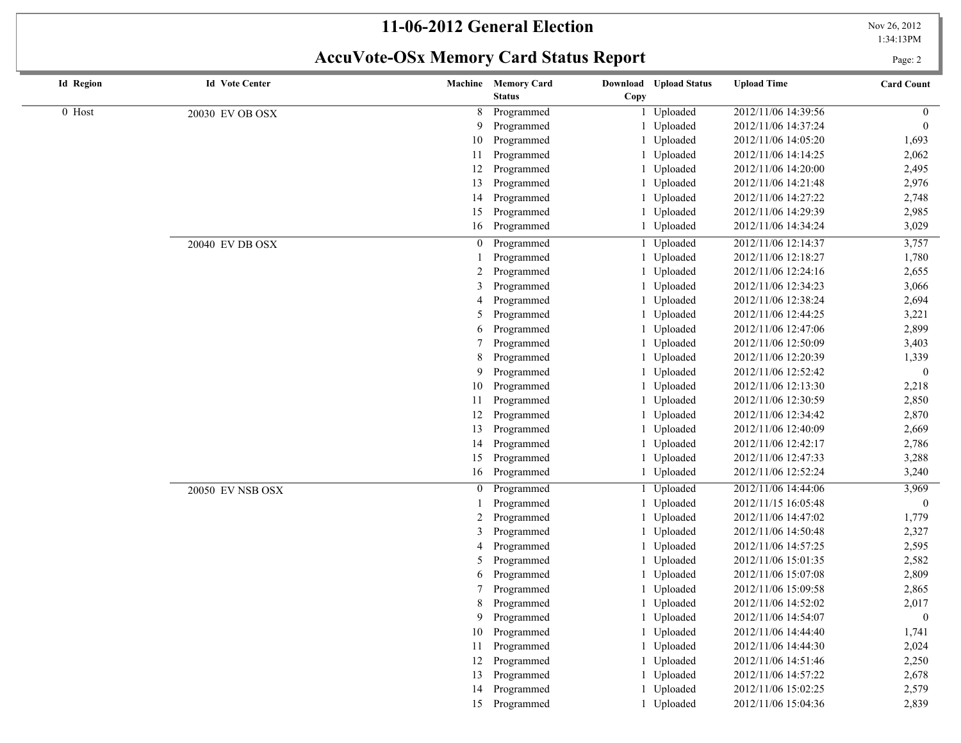# **11-06-2012 General Election** Nov 26, 2012

#### 1:34:13PM

# **AccuVote-OSx Memory Card Status Report** Page: 2

 $\overline{\phantom{a}}$ 

| <b>Id Region</b> | <b>Id Vote Center</b> |              | Machine Memory Card | Download Upload Status | <b>Upload Time</b>  | <b>Card Count</b> |
|------------------|-----------------------|--------------|---------------------|------------------------|---------------------|-------------------|
|                  |                       |              | <b>Status</b>       | Copy                   |                     |                   |
| 0 Host           | 20030 EV OB OSX       | 8            | Programmed          | Uploaded               | 2012/11/06 14:39:56 | $\overline{0}$    |
|                  |                       | 9            | Programmed          | Uploaded               | 2012/11/06 14:37:24 | $\theta$          |
|                  |                       | 10           | Programmed          | Uploaded               | 2012/11/06 14:05:20 | 1,693             |
|                  |                       | 11           | Programmed          | Uploaded               | 2012/11/06 14:14:25 | 2,062             |
|                  |                       | 12           | Programmed          | Uploaded               | 2012/11/06 14:20:00 | 2,495             |
|                  |                       | 13           | Programmed          | Uploaded               | 2012/11/06 14:21:48 | 2,976             |
|                  |                       | 14           | Programmed          | Uploaded               | 2012/11/06 14:27:22 | 2,748             |
|                  |                       | 15           | Programmed          | Uploaded               | 2012/11/06 14:29:39 | 2,985             |
|                  |                       | 16           | Programmed          | Uploaded               | 2012/11/06 14:34:24 | 3,029             |
|                  | 20040 EV DB OSX       | $\mathbf{0}$ | Programmed          | Uploaded               | 2012/11/06 12:14:37 | 3,757             |
|                  |                       |              | Programmed          | Uploaded               | 2012/11/06 12:18:27 | 1,780             |
|                  |                       | 2            | Programmed          | Uploaded               | 2012/11/06 12:24:16 | 2,655             |
|                  |                       | 3            | Programmed          | Uploaded               | 2012/11/06 12:34:23 | 3,066             |
|                  |                       | 4            | Programmed          | Uploaded               | 2012/11/06 12:38:24 | 2,694             |
|                  |                       | 5            | Programmed          | Uploaded               | 2012/11/06 12:44:25 | 3,221             |
|                  |                       | 6            | Programmed          | Uploaded               | 2012/11/06 12:47:06 | 2,899             |
|                  |                       |              | Programmed          | Uploaded               | 2012/11/06 12:50:09 | 3,403             |
|                  |                       | 8            | Programmed          | Uploaded               | 2012/11/06 12:20:39 | 1,339             |
|                  |                       | 9            | Programmed          | Uploaded               | 2012/11/06 12:52:42 | $\boldsymbol{0}$  |
|                  |                       | 10           | Programmed          | Uploaded               | 2012/11/06 12:13:30 | 2,218             |
|                  |                       | 11           | Programmed          | Uploaded               | 2012/11/06 12:30:59 | 2,850             |
|                  |                       | 12           | Programmed          | Uploaded               | 2012/11/06 12:34:42 | 2,870             |
|                  |                       | 13           | Programmed          | Uploaded               | 2012/11/06 12:40:09 | 2,669             |
|                  |                       | 14           | Programmed          | Uploaded               | 2012/11/06 12:42:17 | 2,786             |
|                  |                       | 15           | Programmed          | Uploaded               | 2012/11/06 12:47:33 | 3,288             |
|                  |                       | 16           | Programmed          | Uploaded               | 2012/11/06 12:52:24 | 3,240             |
|                  | 20050 EV NSB OSX      | 0            | Programmed          | Uploaded               | 2012/11/06 14:44:06 | 3,969             |
|                  |                       |              | Programmed          | Uploaded               | 2012/11/15 16:05:48 | $\boldsymbol{0}$  |
|                  |                       |              | Programmed          | Uploaded               | 2012/11/06 14:47:02 | 1,779             |
|                  |                       | 3            | Programmed          | Uploaded               | 2012/11/06 14:50:48 | 2,327             |
|                  |                       | 4            | Programmed          | Uploaded               | 2012/11/06 14:57:25 | 2,595             |
|                  |                       | 5            | Programmed          | Uploaded               | 2012/11/06 15:01:35 | 2,582             |
|                  |                       | 6            | Programmed          | Uploaded               | 2012/11/06 15:07:08 | 2,809             |
|                  |                       |              | Programmed          | Uploaded               | 2012/11/06 15:09:58 | 2,865             |
|                  |                       | 8            | Programmed          | Uploaded               | 2012/11/06 14:52:02 | 2,017             |
|                  |                       |              | 9 Programmed        | 1 Uploaded             | 2012/11/06 14:54:07 | $\boldsymbol{0}$  |
|                  |                       | 10           | Programmed          | 1 Uploaded             | 2012/11/06 14:44:40 | 1,741             |
|                  |                       | 11           | Programmed          | 1 Uploaded             | 2012/11/06 14:44:30 | 2,024             |
|                  |                       | 12           | Programmed          | 1 Uploaded             | 2012/11/06 14:51:46 | 2,250             |
|                  |                       | 13           | Programmed          | Uploaded               | 2012/11/06 14:57:22 | 2,678             |
|                  |                       | 14           | Programmed          | Uploaded               | 2012/11/06 15:02:25 | 2,579             |
|                  |                       |              | 15 Programmed       | 1 Uploaded             | 2012/11/06 15:04:36 | 2,839             |
|                  |                       |              |                     |                        |                     |                   |